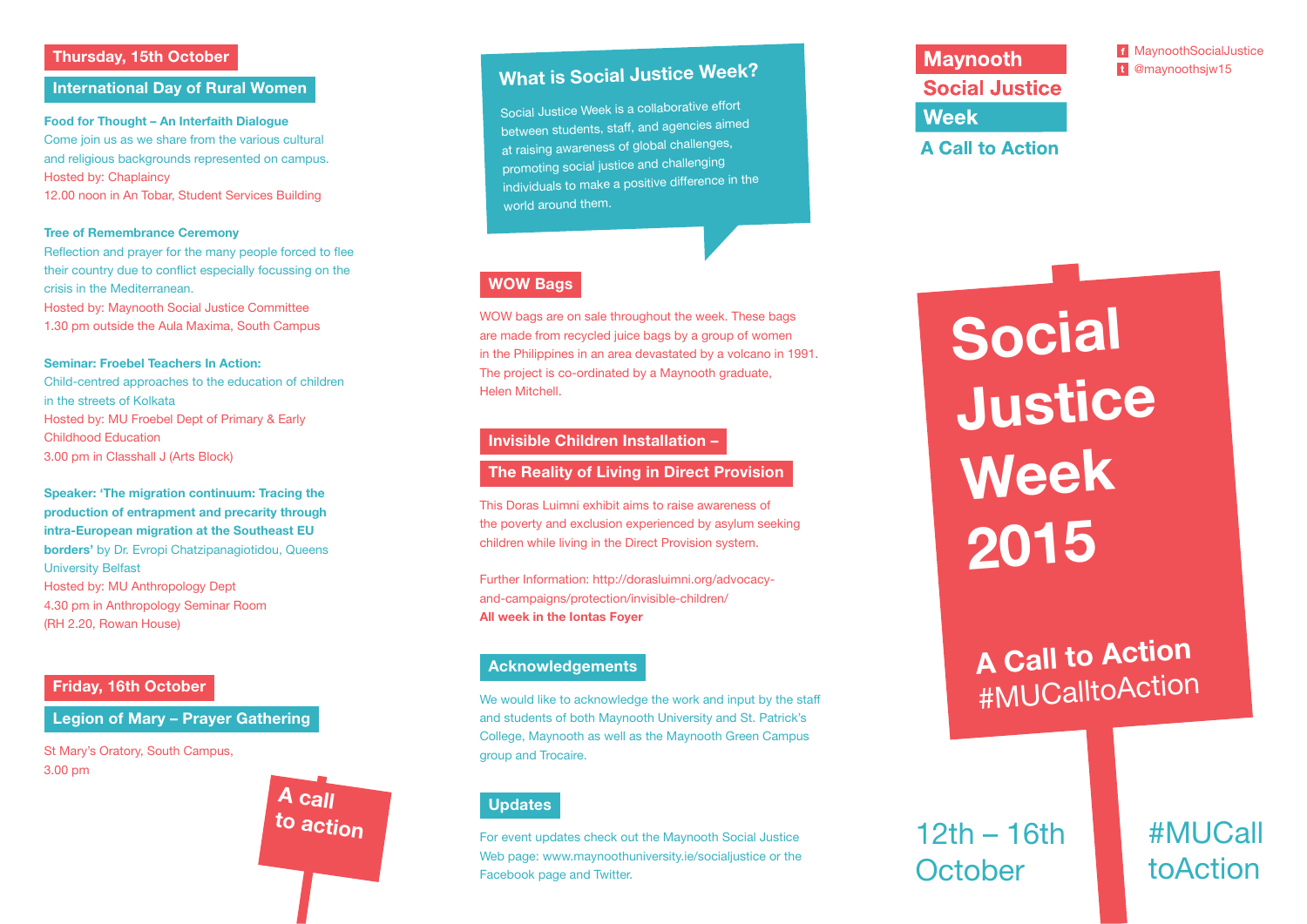#### Thursday, 15th October

#### International Day of Rural Women

Food for Thought – An Interfaith Dialogue Come join us as we share from the various cultural and religious backgrounds represented on campus. Hosted by: Chaplaincy 12.00 noon in An Tobar, Student Services Building

#### Tree of Remembrance Ceremony

Reflection and prayer for the many people forced to flee their country due to conflict especially focussing on the crisis in the Mediterranean.

Hosted by: Maynooth Social Justice Committee 1.30 pm outside the Aula Maxima, South Campus

#### Seminar: Froebel Teachers In Action:

Child-centred approaches to the education of children in the streets of Kolkata Hosted by: MU Froebel Dept of Primary & Early Childhood Education 3.00 pm in Classhall J (Arts Block)

Speaker: 'The migration continuum: Tracing the production of entrapment and precarity through intra-European migration at the Southeast EU borders' by Dr. Evropi Chatzipanagiotidou, Queens University Belfast Hosted by: MU Anthropology Dept 4.30 pm in Anthropology Seminar Room (RH 2.20, Rowan House)

#### Friday, 16th October

#### Legion of Mary – Prayer Gathering

A call to action

St Mary's Oratory, South Campus, 3.00 pm

### What is Social Justice Week?

Social Justice Week is a collaborative effort between students, staff, and agencies aimed at raising awareness of global challenges, promoting social justice and challenging individuals to make a positive difference in the world around them.

#### WOW Bags

WOW bags are on sale throughout the week. These bags are made from recycled juice bags by a group of women in the Philippines in an area devastated by a volcano in 1991. The project is co-ordinated by a Maynooth graduate, Helen Mitchell.

#### Invisible Children Installation –

#### The Reality of Living in Direct Provision

This Doras Luimni exhibit aims to raise awareness of the poverty and exclusion experienced by asylum seeking children while living in the Direct Provision system.

Further Information: http://dorasluimni.org/advocacyand-campaigns/protection/invisible-children/ All week in the Iontas Foyer

#### Acknowledgements

We would like to acknowledge the work and input by the staff and students of both Maynooth University and St. Patrick's College, Maynooth as well as the Maynooth Green Campus group and Trocaire.

#### **Updates**

For event updates check out the Maynooth Social Justice Web page: www.maynoothuniversity.ie/socialjustice or the Facebook page and Twitter.

**Maynooth Social Justice Week** 

**A Call to Action** 

MaynoothSocialJustice t @maynoothsiw15

# Social Justice Week 2015

## A Call to Action #MUCalltoAction

12th – 16th **October** 

#MUCall toAction